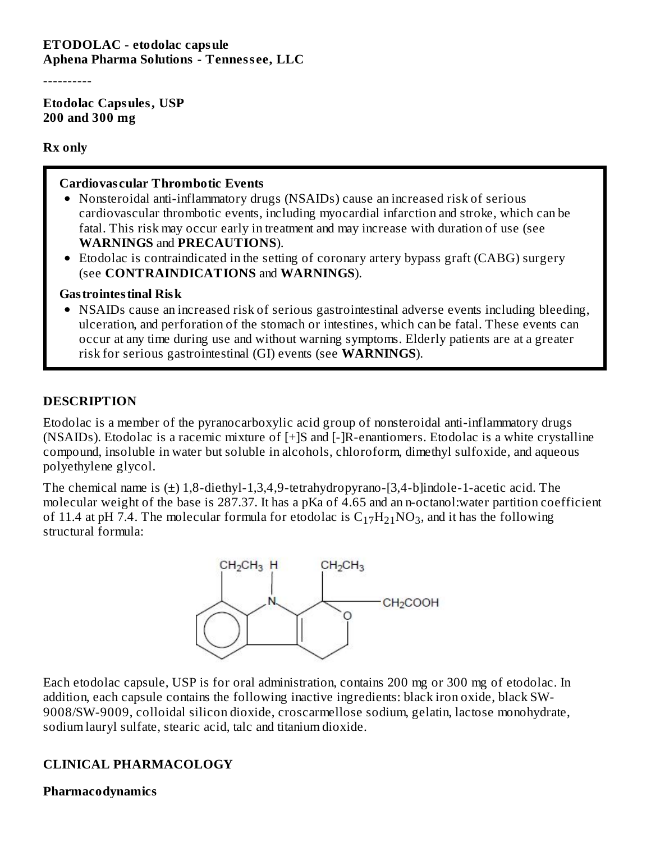#### **ETODOLAC - etodolac capsule Aphena Pharma Solutions - Tenness ee, LLC**

----------

**Etodolac Capsules, USP 200 and 300 mg**

#### **Rx only**

#### **Cardiovas cular Thrombotic Events**

- Nonsteroidal anti-inflammatory drugs (NSAIDs) cause an increased risk of serious cardiovascular thrombotic events, including myocardial infarction and stroke, which can be fatal. This risk may occur early in treatment and may increase with duration of use (see **WARNINGS** and **PRECAUTIONS**).
- Etodolac is contraindicated in the setting of coronary artery bypass graft (CABG) surgery (see **CONTRAINDICATIONS** and **WARNINGS**).

#### **Gastrointestinal Risk**

NSAIDs cause an increased risk of serious gastrointestinal adverse events including bleeding, ulceration, and perforation of the stomach or intestines, which can be fatal. These events can occur at any time during use and without warning symptoms. Elderly patients are at a greater risk for serious gastrointestinal (GI) events (see **WARNINGS**).

#### **DESCRIPTION**

Etodolac is a member of the pyranocarboxylic acid group of nonsteroidal anti-inflammatory drugs (NSAIDs). Etodolac is a racemic mixture of [+]S and [-]R-enantiomers. Etodolac is a white crystalline compound, insoluble in water but soluble in alcohols, chloroform, dimethyl sulfoxide, and aqueous polyethylene glycol.

The chemical name is (±) 1,8-diethyl-1,3,4,9-tetrahydropyrano-[3,4-b]indole-1-acetic acid. The molecular weight of the base is 287.37. It has a pKa of 4.65 and an n-octanol:water partition coefficient of 11.4 at pH 7.4. The molecular formula for etodolac is  $\rm{C_{17}H_{21}NO_3}$ , and it has the following structural formula:



Each etodolac capsule, USP is for oral administration, contains 200 mg or 300 mg of etodolac. In addition, each capsule contains the following inactive ingredients: black iron oxide, black SW-9008/SW-9009, colloidal silicon dioxide, croscarmellose sodium, gelatin, lactose monohydrate, sodium lauryl sulfate, stearic acid, talc and titanium dioxide.

#### **CLINICAL PHARMACOLOGY**

**Pharmacodynamics**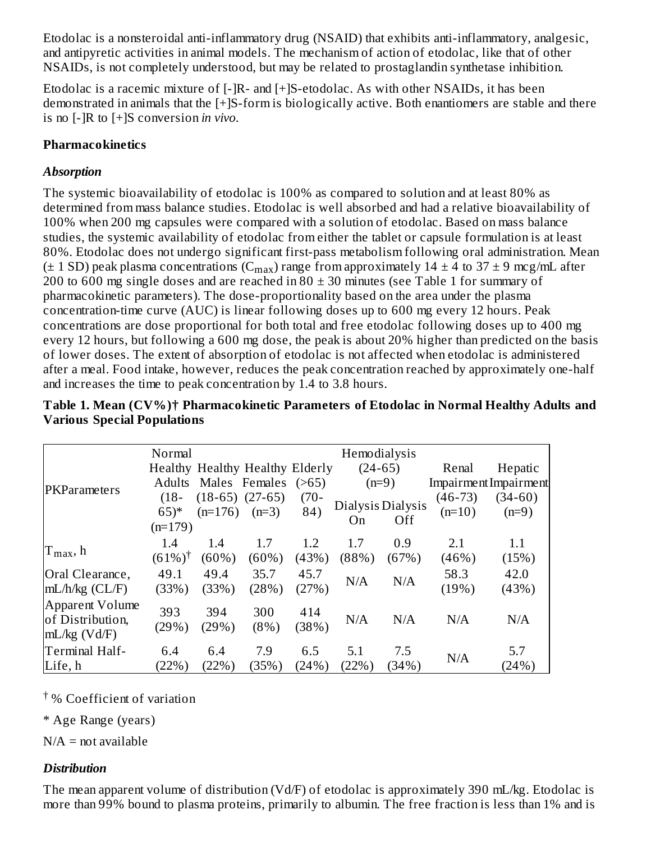Etodolac is a nonsteroidal anti-inflammatory drug (NSAID) that exhibits anti-inflammatory, analgesic, and antipyretic activities in animal models. The mechanism of action of etodolac, like that of other NSAIDs, is not completely understood, but may be related to prostaglandin synthetase inhibition.

Etodolac is a racemic mixture of [-]R- and [+]S-etodolac. As with other NSAIDs, it has been demonstrated in animals that the [+]S-form is biologically active. Both enantiomers are stable and there is no [-]R to [+]S conversion *in vivo*.

#### **Pharmacokinetics**

## *Absorption*

The systemic bioavailability of etodolac is 100% as compared to solution and at least 80% as determined from mass balance studies. Etodolac is well absorbed and had a relative bioavailability of 100% when 200 mg capsules were compared with a solution of etodolac. Based on mass balance studies, the systemic availability of etodolac from either the tablet or capsule formulation is at least 80%. Etodolac does not undergo significant first-pass metabolism following oral administration. Mean ( $\pm$  1 SD) peak plasma concentrations ( $C_{max}$ ) range from approximately 14  $\pm$  4 to 37  $\pm$  9 mcg/mL after 200 to 600 mg single doses and are reached in 80  $\pm$  30 minutes (see Table 1 for summary of pharmacokinetic parameters). The dose-proportionality based on the area under the plasma concentration-time curve (AUC) is linear following doses up to 600 mg every 12 hours. Peak concentrations are dose proportional for both total and free etodolac following doses up to 400 mg every 12 hours, but following a 600 mg dose, the peak is about 20% higher than predicted on the basis of lower doses. The extent of absorption of etodolac is not affected when etodolac is administered after a meal. Food intake, however, reduces the peak concentration reached by approximately one-half and increases the time to peak concentration by 1.4 to 3.8 hours.

|                      | Normal             |           |                                 |         | Hemodialysis |                   |           |                       |
|----------------------|--------------------|-----------|---------------------------------|---------|--------------|-------------------|-----------|-----------------------|
|                      |                    |           | Healthy Healthy Healthy Elderly |         | $(24-65)$    |                   | Renal     | Hepatic               |
| PKParameters         | Adults             |           | Males Females                   | ( > 65) |              | $(n=9)$           |           | Impairment Impairment |
|                      | $(18 -$            |           | $(18-65)$ $(27-65)$             | $(70 -$ |              |                   | $(46-73)$ | $(34-60)$             |
|                      | $65)*$             | $(n=176)$ | $(n=3)$                         | 84)     |              | Dialysis Dialysis | $(n=10)$  | $(n=9)$               |
|                      | $(n=179)$          |           |                                 |         | On           | Off               |           |                       |
|                      | 1.4                | 1.4       | 1.7                             | 1.2     | 1.7          | 0.9               | 2.1       | 1.1                   |
| $T_{\text{max}}$ , h | $(61\%)^{\dagger}$ | $(60\%)$  | (60%)                           | (43%)   | (88%)        | (67%)             | (46%)     | (15%)                 |
| Oral Clearance,      | 49.1               | 49.4      | 35.7                            | 45.7    |              |                   | 58.3      | 42.0                  |
| $mL/h/kg$ (CL/F)     | (33%)              | (33%)     | (28%)                           | (27%)   | N/A          | N/A               | (19%)     | (43%)                 |
| Apparent Volume      | 393                | 394       | 300                             | 414     |              |                   |           |                       |
| of Distribution,     | (29%)              | (29%)     | (8%)                            | (38%)   | N/A          | N/A               | N/A       | N/A                   |
| $mL/kg$ (Vd/F)       |                    |           |                                 |         |              |                   |           |                       |
| Terminal Half-       | 6.4                | 6.4       | 7.9                             | 6.5     | 5.1          | 7.5               | N/A       | 5.7                   |
| Life, h              | (22%)              | (22%)     | (35%)                           | (24%)   | (22%)        | (34%)             |           | (24%)                 |

| Table 1. Mean (CV%)† Pharmacokinetic Parameters of Etodolac in Normal Healthy Adults and |  |  |
|------------------------------------------------------------------------------------------|--|--|
| <b>Various Special Populations</b>                                                       |  |  |

% Coefficient of variation †

\* Age Range (years)

 $N/A$  = not available

## *Distribution*

The mean apparent volume of distribution (Vd/F) of etodolac is approximately 390 mL/kg. Etodolac is more than 99% bound to plasma proteins, primarily to albumin. The free fraction is less than 1% and is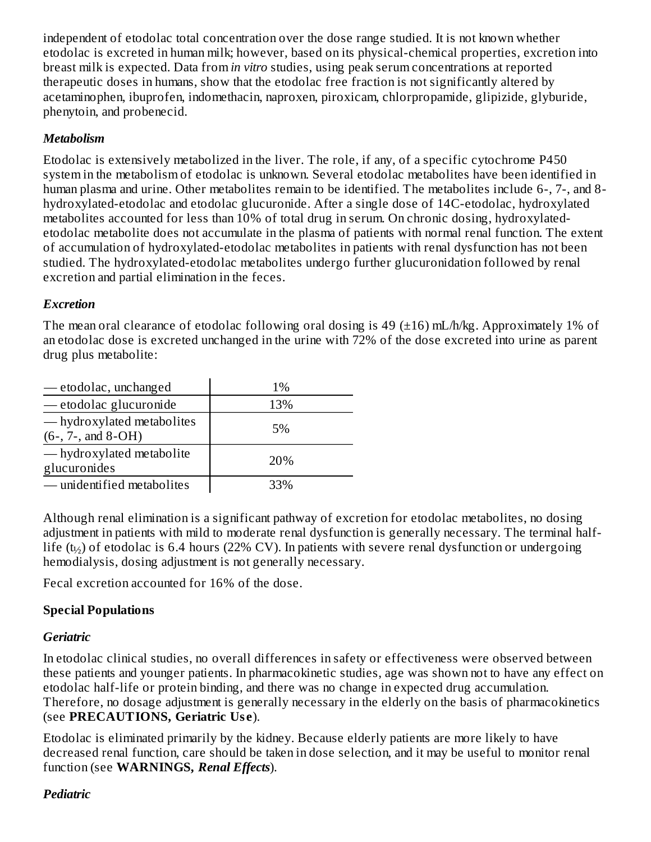independent of etodolac total concentration over the dose range studied. It is not known whether etodolac is excreted in human milk; however, based on its physical-chemical properties, excretion into breast milk is expected. Data from *in vitro* studies, using peak serum concentrations at reported therapeutic doses in humans, show that the etodolac free fraction is not significantly altered by acetaminophen, ibuprofen, indomethacin, naproxen, piroxicam, chlorpropamide, glipizide, glyburide, phenytoin, and probenecid.

#### *Metabolism*

Etodolac is extensively metabolized in the liver. The role, if any, of a specific cytochrome P450 system in the metabolism of etodolac is unknown. Several etodolac metabolites have been identified in human plasma and urine. Other metabolites remain to be identified. The metabolites include 6-, 7-, and 8 hydroxylated-etodolac and etodolac glucuronide. After a single dose of 14C-etodolac, hydroxylated metabolites accounted for less than 10% of total drug in serum. On chronic dosing, hydroxylatedetodolac metabolite does not accumulate in the plasma of patients with normal renal function. The extent of accumulation of hydroxylated-etodolac metabolites in patients with renal dysfunction has not been studied. The hydroxylated-etodolac metabolites undergo further glucuronidation followed by renal excretion and partial elimination in the feces.

#### *Excretion*

The mean oral clearance of etodolac following oral dosing is 49  $(\pm 16)$  mL/h/kg. Approximately 1% of an etodolac dose is excreted unchanged in the urine with 72% of the dose excreted into urine as parent drug plus metabolite:

| — etodolac, unchanged                              | $1\%$ |
|----------------------------------------------------|-------|
| — etodolac glucuronide                             | 13%   |
| — hydroxylated metabolites<br>$(6-, 7-, and 8-OH)$ | 5%    |
| — hydroxylated metabolite<br>glucuronides          | 20%   |
| — unidentified metabolites                         | 33%   |

Although renal elimination is a significant pathway of excretion for etodolac metabolites, no dosing adjustment in patients with mild to moderate renal dysfunction is generally necessary. The terminal halflife (t $_{\rm 42}$ ) of etodolac is 6.4 hours (22% CV). In patients with severe renal dysfunction or undergoing hemodialysis, dosing adjustment is not generally necessary.

Fecal excretion accounted for 16% of the dose.

## **Special Populations**

## *Geriatric*

In etodolac clinical studies, no overall differences in safety or effectiveness were observed between these patients and younger patients. In pharmacokinetic studies, age was shown not to have any effect on etodolac half-life or protein binding, and there was no change in expected drug accumulation. Therefore, no dosage adjustment is generally necessary in the elderly on the basis of pharmacokinetics (see **PRECAUTIONS, Geriatric Us e**).

Etodolac is eliminated primarily by the kidney. Because elderly patients are more likely to have decreased renal function, care should be taken in dose selection, and it may be useful to monitor renal function (see **WARNINGS,** *Renal Effects*).

## *Pediatric*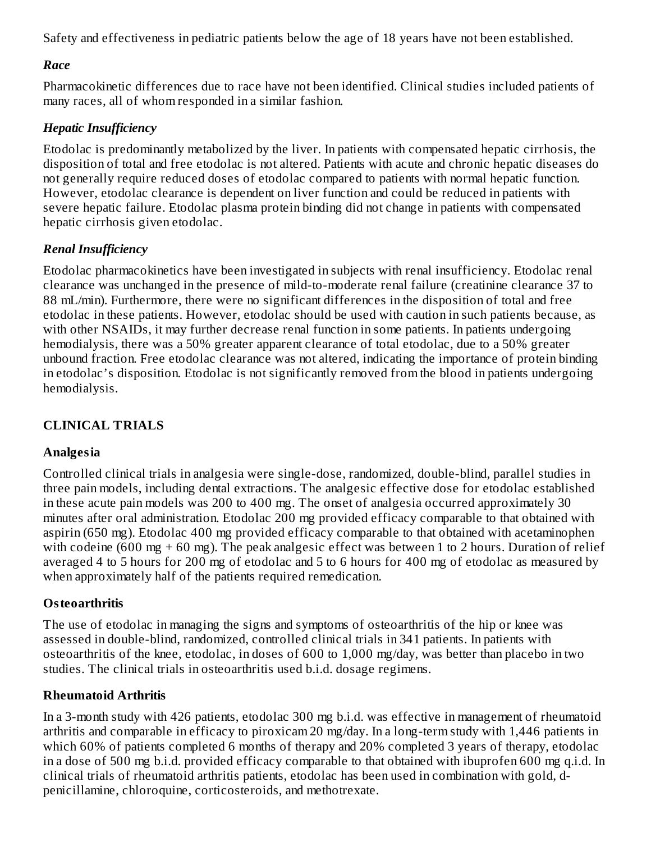Safety and effectiveness in pediatric patients below the age of 18 years have not been established.

#### *Race*

Pharmacokinetic differences due to race have not been identified. Clinical studies included patients of many races, all of whom responded in a similar fashion.

#### *Hepatic Insufficiency*

Etodolac is predominantly metabolized by the liver. In patients with compensated hepatic cirrhosis, the disposition of total and free etodolac is not altered. Patients with acute and chronic hepatic diseases do not generally require reduced doses of etodolac compared to patients with normal hepatic function. However, etodolac clearance is dependent on liver function and could be reduced in patients with severe hepatic failure. Etodolac plasma protein binding did not change in patients with compensated hepatic cirrhosis given etodolac.

## *Renal Insufficiency*

Etodolac pharmacokinetics have been investigated in subjects with renal insufficiency. Etodolac renal clearance was unchanged in the presence of mild-to-moderate renal failure (creatinine clearance 37 to 88 mL/min). Furthermore, there were no significant differences in the disposition of total and free etodolac in these patients. However, etodolac should be used with caution in such patients because, as with other NSAIDs, it may further decrease renal function in some patients. In patients undergoing hemodialysis, there was a 50% greater apparent clearance of total etodolac, due to a 50% greater unbound fraction. Free etodolac clearance was not altered, indicating the importance of protein binding in etodolac's disposition. Etodolac is not significantly removed from the blood in patients undergoing hemodialysis.

## **CLINICAL TRIALS**

## **Analgesia**

Controlled clinical trials in analgesia were single-dose, randomized, double-blind, parallel studies in three pain models, including dental extractions. The analgesic effective dose for etodolac established in these acute pain models was 200 to 400 mg. The onset of analgesia occurred approximately 30 minutes after oral administration. Etodolac 200 mg provided efficacy comparable to that obtained with aspirin (650 mg). Etodolac 400 mg provided efficacy comparable to that obtained with acetaminophen with codeine (600 mg  $+60$  mg). The peak analgesic effect was between 1 to 2 hours. Duration of relief averaged 4 to 5 hours for 200 mg of etodolac and 5 to 6 hours for 400 mg of etodolac as measured by when approximately half of the patients required remedication.

## **Osteoarthritis**

The use of etodolac in managing the signs and symptoms of osteoarthritis of the hip or knee was assessed in double-blind, randomized, controlled clinical trials in 341 patients. In patients with osteoarthritis of the knee, etodolac, in doses of 600 to 1,000 mg/day, was better than placebo in two studies. The clinical trials in osteoarthritis used b.i.d. dosage regimens.

## **Rheumatoid Arthritis**

In a 3-month study with 426 patients, etodolac 300 mg b.i.d. was effective in management of rheumatoid arthritis and comparable in efficacy to piroxicam 20 mg/day. In a long-term study with 1,446 patients in which 60% of patients completed 6 months of therapy and 20% completed 3 years of therapy, etodolac in a dose of 500 mg b.i.d. provided efficacy comparable to that obtained with ibuprofen 600 mg q.i.d. In clinical trials of rheumatoid arthritis patients, etodolac has been used in combination with gold, dpenicillamine, chloroquine, corticosteroids, and methotrexate.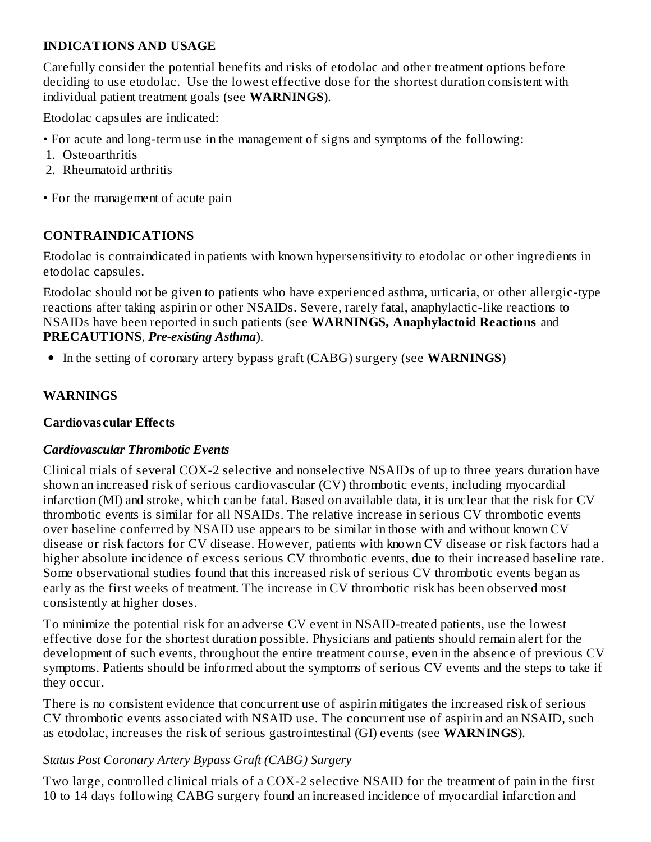#### **INDICATIONS AND USAGE**

Carefully consider the potential benefits and risks of etodolac and other treatment options before deciding to use etodolac. Use the lowest effective dose for the shortest duration consistent with individual patient treatment goals (see **WARNINGS**).

Etodolac capsules are indicated:

- For acute and long-term use in the management of signs and symptoms of the following:
- 1. Osteoarthritis
- 2. Rheumatoid arthritis

• For the management of acute pain

#### **CONTRAINDICATIONS**

Etodolac is contraindicated in patients with known hypersensitivity to etodolac or other ingredients in etodolac capsules.

Etodolac should not be given to patients who have experienced asthma, urticaria, or other allergic-type reactions after taking aspirin or other NSAIDs. Severe, rarely fatal, anaphylactic-like reactions to NSAIDs have been reported in such patients (see **WARNINGS, Anaphylactoid Reactions** and **PRECAUTIONS**, *Pre-existing Asthma*).

In the setting of coronary artery bypass graft (CABG) surgery (see **WARNINGS**)

#### **WARNINGS**

#### **Cardiovas cular Effects**

#### *Cardiovascular Thrombotic Events*

Clinical trials of several COX-2 selective and nonselective NSAIDs of up to three years duration have shown an increased risk of serious cardiovascular (CV) thrombotic events, including myocardial infarction (MI) and stroke, which can be fatal. Based on available data, it is unclear that the risk for CV thrombotic events is similar for all NSAIDs. The relative increase in serious CV thrombotic events over baseline conferred by NSAID use appears to be similar in those with and without known CV disease or risk factors for CV disease. However, patients with known CV disease or risk factors had a higher absolute incidence of excess serious CV thrombotic events, due to their increased baseline rate. Some observational studies found that this increased risk of serious CV thrombotic events began as early as the first weeks of treatment. The increase in CV thrombotic risk has been observed most consistently at higher doses.

To minimize the potential risk for an adverse CV event in NSAID-treated patients, use the lowest effective dose for the shortest duration possible. Physicians and patients should remain alert for the development of such events, throughout the entire treatment course, even in the absence of previous CV symptoms. Patients should be informed about the symptoms of serious CV events and the steps to take if they occur.

There is no consistent evidence that concurrent use of aspirin mitigates the increased risk of serious CV thrombotic events associated with NSAID use. The concurrent use of aspirin and an NSAID, such as etodolac, increases the risk of serious gastrointestinal (GI) events (see **WARNINGS**).

#### *Status Post Coronary Artery Bypass Graft (CABG) Surgery*

Two large, controlled clinical trials of a COX-2 selective NSAID for the treatment of pain in the first 10 to 14 days following CABG surgery found an increased incidence of myocardial infarction and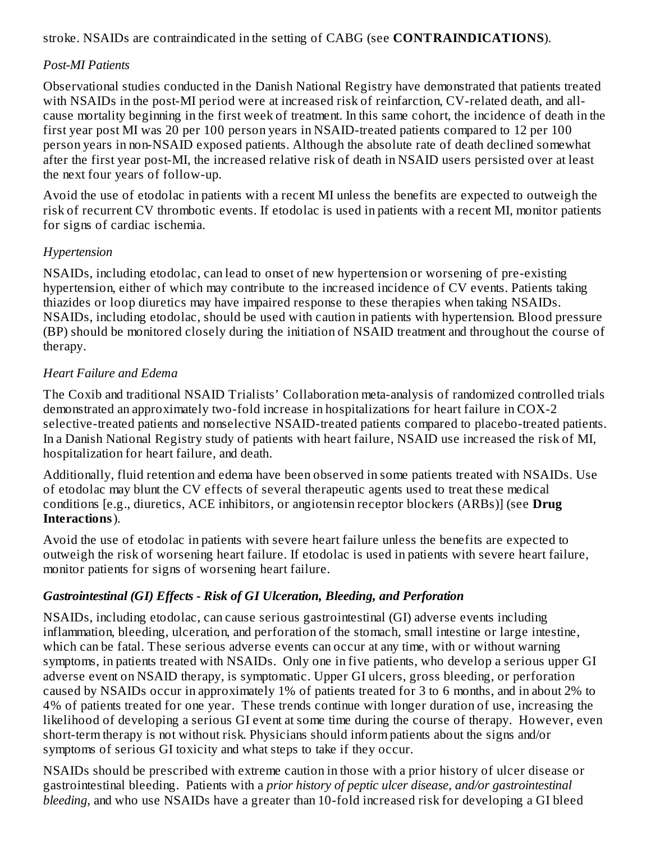stroke. NSAIDs are contraindicated in the setting of CABG (see **CONTRAINDICATIONS**).

## *Post-MI Patients*

Observational studies conducted in the Danish National Registry have demonstrated that patients treated with NSAIDs in the post-MI period were at increased risk of reinfarction, CV-related death, and allcause mortality beginning in the first week of treatment. In this same cohort, the incidence of death in the first year post MI was 20 per 100 person years in NSAID-treated patients compared to 12 per 100 person years in non-NSAID exposed patients. Although the absolute rate of death declined somewhat after the first year post-MI, the increased relative risk of death in NSAID users persisted over at least the next four years of follow-up.

Avoid the use of etodolac in patients with a recent MI unless the benefits are expected to outweigh the risk of recurrent CV thrombotic events. If etodolac is used in patients with a recent MI, monitor patients for signs of cardiac ischemia.

#### *Hypertension*

NSAIDs, including etodolac, can lead to onset of new hypertension or worsening of pre-existing hypertension, either of which may contribute to the increased incidence of CV events. Patients taking thiazides or loop diuretics may have impaired response to these therapies when taking NSAIDs. NSAIDs, including etodolac, should be used with caution in patients with hypertension. Blood pressure (BP) should be monitored closely during the initiation of NSAID treatment and throughout the course of therapy.

## *Heart Failure and Edema*

The Coxib and traditional NSAID Trialists' Collaboration meta-analysis of randomized controlled trials demonstrated an approximately two-fold increase in hospitalizations for heart failure in COX-2 selective-treated patients and nonselective NSAID-treated patients compared to placebo-treated patients. In a Danish National Registry study of patients with heart failure, NSAID use increased the risk of MI, hospitalization for heart failure, and death.

Additionally, fluid retention and edema have been observed in some patients treated with NSAIDs. Use of etodolac may blunt the CV effects of several therapeutic agents used to treat these medical conditions [e.g., diuretics, ACE inhibitors, or angiotensin receptor blockers (ARBs)] (see **Drug Interactions**).

Avoid the use of etodolac in patients with severe heart failure unless the benefits are expected to outweigh the risk of worsening heart failure. If etodolac is used in patients with severe heart failure, monitor patients for signs of worsening heart failure.

## *Gastrointestinal (GI) Effects - Risk of GI Ulceration, Bleeding, and Perforation*

NSAIDs, including etodolac, can cause serious gastrointestinal (GI) adverse events including inflammation, bleeding, ulceration, and perforation of the stomach, small intestine or large intestine, which can be fatal. These serious adverse events can occur at any time, with or without warning symptoms, in patients treated with NSAIDs. Only one in five patients, who develop a serious upper GI adverse event on NSAID therapy, is symptomatic. Upper GI ulcers, gross bleeding, or perforation caused by NSAIDs occur in approximately 1% of patients treated for 3 to 6 months, and in about 2% to 4% of patients treated for one year. These trends continue with longer duration of use, increasing the likelihood of developing a serious GI event at some time during the course of therapy. However, even short-term therapy is not without risk. Physicians should inform patients about the signs and/or symptoms of serious GI toxicity and what steps to take if they occur.

NSAIDs should be prescribed with extreme caution in those with a prior history of ulcer disease or gastrointestinal bleeding. Patients with a *prior history of peptic ulcer disease, and/or gastrointestinal bleeding,* and who use NSAIDs have a greater than 10-fold increased risk for developing a GI bleed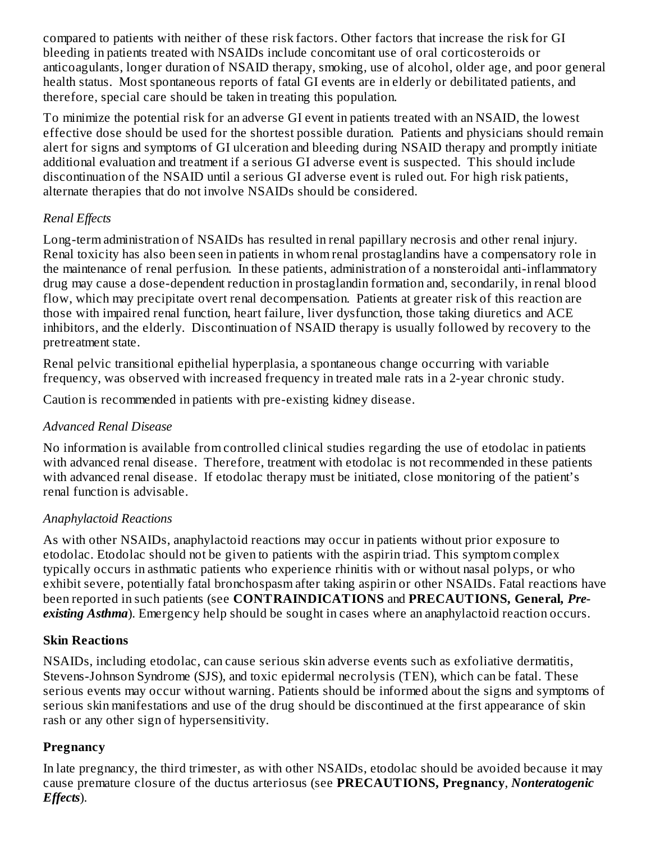compared to patients with neither of these risk factors. Other factors that increase the risk for GI bleeding in patients treated with NSAIDs include concomitant use of oral corticosteroids or anticoagulants, longer duration of NSAID therapy, smoking, use of alcohol, older age, and poor general health status. Most spontaneous reports of fatal GI events are in elderly or debilitated patients, and therefore, special care should be taken in treating this population.

To minimize the potential risk for an adverse GI event in patients treated with an NSAID, the lowest effective dose should be used for the shortest possible duration. Patients and physicians should remain alert for signs and symptoms of GI ulceration and bleeding during NSAID therapy and promptly initiate additional evaluation and treatment if a serious GI adverse event is suspected. This should include discontinuation of the NSAID until a serious GI adverse event is ruled out. For high risk patients, alternate therapies that do not involve NSAIDs should be considered.

## *Renal Effects*

Long-term administration of NSAIDs has resulted in renal papillary necrosis and other renal injury. Renal toxicity has also been seen in patients in whom renal prostaglandins have a compensatory role in the maintenance of renal perfusion. In these patients, administration of a nonsteroidal anti-inflammatory drug may cause a dose-dependent reduction in prostaglandin formation and, secondarily, in renal blood flow, which may precipitate overt renal decompensation. Patients at greater risk of this reaction are those with impaired renal function, heart failure, liver dysfunction, those taking diuretics and ACE inhibitors, and the elderly. Discontinuation of NSAID therapy is usually followed by recovery to the pretreatment state.

Renal pelvic transitional epithelial hyperplasia, a spontaneous change occurring with variable frequency, was observed with increased frequency in treated male rats in a 2-year chronic study.

Caution is recommended in patients with pre-existing kidney disease.

## *Advanced Renal Disease*

No information is available from controlled clinical studies regarding the use of etodolac in patients with advanced renal disease. Therefore, treatment with etodolac is not recommended in these patients with advanced renal disease. If etodolac therapy must be initiated, close monitoring of the patient's renal function is advisable.

## *Anaphylactoid Reactions*

As with other NSAIDs, anaphylactoid reactions may occur in patients without prior exposure to etodolac. Etodolac should not be given to patients with the aspirin triad. This symptom complex typically occurs in asthmatic patients who experience rhinitis with or without nasal polyps, or who exhibit severe, potentially fatal bronchospasm after taking aspirin or other NSAIDs. Fatal reactions have been reported in such patients (see **CONTRAINDICATIONS** and **PRECAUTIONS, General,** *Preexisting Asthma*). Emergency help should be sought in cases where an anaphylactoid reaction occurs.

## **Skin Reactions**

NSAIDs, including etodolac, can cause serious skin adverse events such as exfoliative dermatitis, Stevens-Johnson Syndrome (SJS), and toxic epidermal necrolysis (TEN), which can be fatal. These serious events may occur without warning. Patients should be informed about the signs and symptoms of serious skin manifestations and use of the drug should be discontinued at the first appearance of skin rash or any other sign of hypersensitivity.

## **Pregnancy**

In late pregnancy, the third trimester, as with other NSAIDs, etodolac should be avoided because it may cause premature closure of the ductus arteriosus (see **PRECAUTIONS, Pregnancy**, *Nonteratogenic Effects*).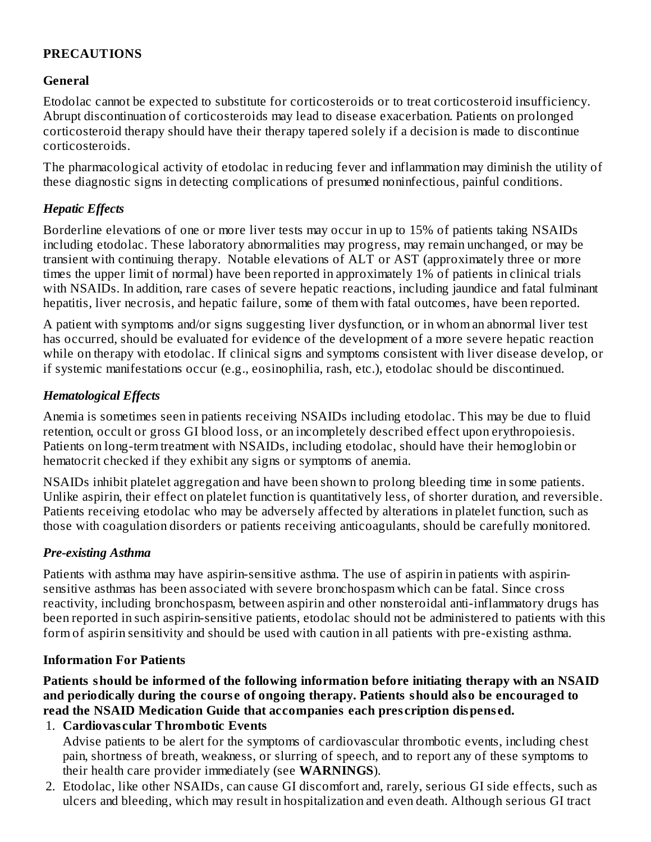#### **PRECAUTIONS**

#### **General**

Etodolac cannot be expected to substitute for corticosteroids or to treat corticosteroid insufficiency. Abrupt discontinuation of corticosteroids may lead to disease exacerbation. Patients on prolonged corticosteroid therapy should have their therapy tapered solely if a decision is made to discontinue corticosteroids.

The pharmacological activity of etodolac in reducing fever and inflammation may diminish the utility of these diagnostic signs in detecting complications of presumed noninfectious, painful conditions.

#### *Hepatic Effects*

Borderline elevations of one or more liver tests may occur in up to 15% of patients taking NSAIDs including etodolac. These laboratory abnormalities may progress, may remain unchanged, or may be transient with continuing therapy. Notable elevations of ALT or AST (approximately three or more times the upper limit of normal) have been reported in approximately 1% of patients in clinical trials with NSAIDs. In addition, rare cases of severe hepatic reactions, including jaundice and fatal fulminant hepatitis, liver necrosis, and hepatic failure, some of them with fatal outcomes, have been reported.

A patient with symptoms and/or signs suggesting liver dysfunction, or in whom an abnormal liver test has occurred, should be evaluated for evidence of the development of a more severe hepatic reaction while on therapy with etodolac. If clinical signs and symptoms consistent with liver disease develop, or if systemic manifestations occur (e.g., eosinophilia, rash, etc.), etodolac should be discontinued.

#### *Hematological Effects*

Anemia is sometimes seen in patients receiving NSAIDs including etodolac. This may be due to fluid retention, occult or gross GI blood loss, or an incompletely described effect upon erythropoiesis. Patients on long-term treatment with NSAIDs, including etodolac, should have their hemoglobin or hematocrit checked if they exhibit any signs or symptoms of anemia.

NSAIDs inhibit platelet aggregation and have been shown to prolong bleeding time in some patients. Unlike aspirin, their effect on platelet function is quantitatively less, of shorter duration, and reversible. Patients receiving etodolac who may be adversely affected by alterations in platelet function, such as those with coagulation disorders or patients receiving anticoagulants, should be carefully monitored.

## *Pre-existing Asthma*

Patients with asthma may have aspirin-sensitive asthma. The use of aspirin in patients with aspirinsensitive asthmas has been associated with severe bronchospasm which can be fatal. Since cross reactivity, including bronchospasm, between aspirin and other nonsteroidal anti-inflammatory drugs has been reported in such aspirin-sensitive patients, etodolac should not be administered to patients with this form of aspirin sensitivity and should be used with caution in all patients with pre-existing asthma.

#### **Information For Patients**

**Patients should be informed of the following information before initiating therapy with an NSAID and periodically during the cours e of ongoing therapy. Patients should also be encouraged to read the NSAID Medication Guide that accompanies each pres cription dispens ed.**

#### 1. **Cardiovas cular Thrombotic Events**

Advise patients to be alert for the symptoms of cardiovascular thrombotic events, including chest pain, shortness of breath, weakness, or slurring of speech, and to report any of these symptoms to their health care provider immediately (see **WARNINGS**).

2. Etodolac, like other NSAIDs, can cause GI discomfort and, rarely, serious GI side effects, such as ulcers and bleeding, which may result in hospitalization and even death. Although serious GI tract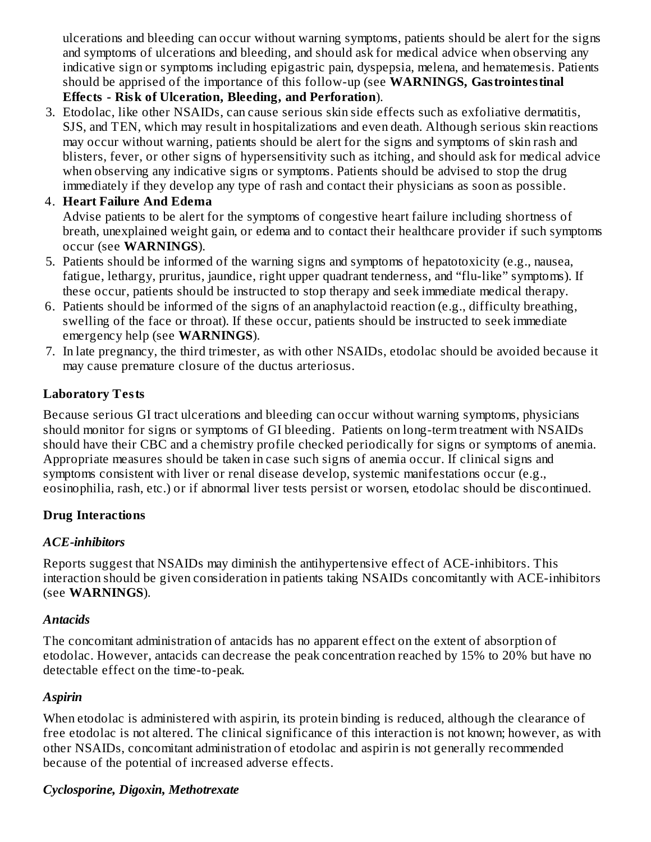ulcerations and bleeding can occur without warning symptoms, patients should be alert for the signs and symptoms of ulcerations and bleeding, and should ask for medical advice when observing any indicative sign or symptoms including epigastric pain, dyspepsia, melena, and hematemesis. Patients should be apprised of the importance of this follow-up (see **WARNINGS, Gastrointestinal Effects - Risk of Ulceration, Bleeding, and Perforation**).

3. Etodolac, like other NSAIDs, can cause serious skin side effects such as exfoliative dermatitis, SJS, and TEN, which may result in hospitalizations and even death. Although serious skin reactions may occur without warning, patients should be alert for the signs and symptoms of skin rash and blisters, fever, or other signs of hypersensitivity such as itching, and should ask for medical advice when observing any indicative signs or symptoms. Patients should be advised to stop the drug immediately if they develop any type of rash and contact their physicians as soon as possible.

#### 4. **Heart Failure And Edema**

Advise patients to be alert for the symptoms of congestive heart failure including shortness of breath, unexplained weight gain, or edema and to contact their healthcare provider if such symptoms occur (see **WARNINGS**).

- 5. Patients should be informed of the warning signs and symptoms of hepatotoxicity (e.g., nausea, fatigue, lethargy, pruritus, jaundice, right upper quadrant tenderness, and "flu-like" symptoms). If these occur, patients should be instructed to stop therapy and seek immediate medical therapy.
- 6. Patients should be informed of the signs of an anaphylactoid reaction (e.g., difficulty breathing, swelling of the face or throat). If these occur, patients should be instructed to seek immediate emergency help (see **WARNINGS**).
- 7. In late pregnancy, the third trimester, as with other NSAIDs, etodolac should be avoided because it may cause premature closure of the ductus arteriosus.

## **Laboratory Tests**

Because serious GI tract ulcerations and bleeding can occur without warning symptoms, physicians should monitor for signs or symptoms of GI bleeding. Patients on long-term treatment with NSAIDs should have their CBC and a chemistry profile checked periodically for signs or symptoms of anemia. Appropriate measures should be taken in case such signs of anemia occur. If clinical signs and symptoms consistent with liver or renal disease develop, systemic manifestations occur (e.g., eosinophilia, rash, etc.) or if abnormal liver tests persist or worsen, etodolac should be discontinued.

## **Drug Interactions**

## *ACE-inhibitors*

Reports suggest that NSAIDs may diminish the antihypertensive effect of ACE-inhibitors. This interaction should be given consideration in patients taking NSAIDs concomitantly with ACE-inhibitors (see **WARNINGS**).

## *Antacids*

The concomitant administration of antacids has no apparent effect on the extent of absorption of etodolac. However, antacids can decrease the peak concentration reached by 15% to 20% but have no detectable effect on the time-to-peak.

## *Aspirin*

When etodolac is administered with aspirin, its protein binding is reduced, although the clearance of free etodolac is not altered. The clinical significance of this interaction is not known; however, as with other NSAIDs, concomitant administration of etodolac and aspirin is not generally recommended because of the potential of increased adverse effects.

## *Cyclosporine, Digoxin, Methotrexate*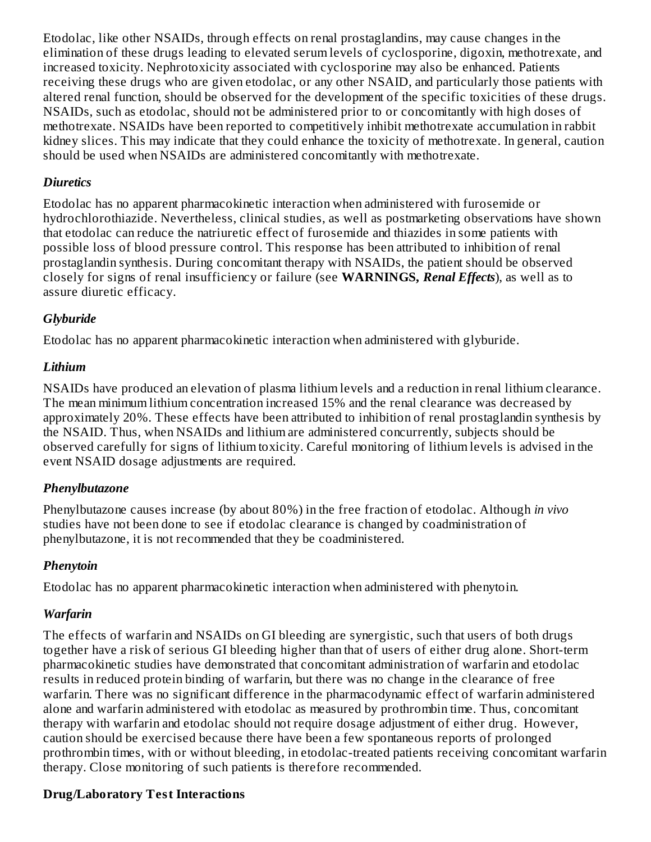Etodolac, like other NSAIDs, through effects on renal prostaglandins, may cause changes in the elimination of these drugs leading to elevated serum levels of cyclosporine, digoxin, methotrexate, and increased toxicity. Nephrotoxicity associated with cyclosporine may also be enhanced. Patients receiving these drugs who are given etodolac, or any other NSAID, and particularly those patients with altered renal function, should be observed for the development of the specific toxicities of these drugs. NSAIDs, such as etodolac, should not be administered prior to or concomitantly with high doses of methotrexate. NSAIDs have been reported to competitively inhibit methotrexate accumulation in rabbit kidney slices. This may indicate that they could enhance the toxicity of methotrexate. In general, caution should be used when NSAIDs are administered concomitantly with methotrexate.

#### *Diuretics*

Etodolac has no apparent pharmacokinetic interaction when administered with furosemide or hydrochlorothiazide. Nevertheless, clinical studies, as well as postmarketing observations have shown that etodolac can reduce the natriuretic effect of furosemide and thiazides in some patients with possible loss of blood pressure control. This response has been attributed to inhibition of renal prostaglandin synthesis. During concomitant therapy with NSAIDs, the patient should be observed closely for signs of renal insufficiency or failure (see **WARNINGS,** *Renal Effects*), as well as to assure diuretic efficacy.

## *Glyburide*

Etodolac has no apparent pharmacokinetic interaction when administered with glyburide.

#### *Lithium*

NSAIDs have produced an elevation of plasma lithium levels and a reduction in renal lithium clearance. The mean minimum lithium concentration increased 15% and the renal clearance was decreased by approximately 20%. These effects have been attributed to inhibition of renal prostaglandin synthesis by the NSAID. Thus, when NSAIDs and lithium are administered concurrently, subjects should be observed carefully for signs of lithium toxicity. Careful monitoring of lithium levels is advised in the event NSAID dosage adjustments are required.

#### *Phenylbutazone*

Phenylbutazone causes increase (by about 80%) in the free fraction of etodolac. Although *in vivo* studies have not been done to see if etodolac clearance is changed by coadministration of phenylbutazone, it is not recommended that they be coadministered.

## *Phenytoin*

Etodolac has no apparent pharmacokinetic interaction when administered with phenytoin.

## *Warfarin*

The effects of warfarin and NSAIDs on GI bleeding are synergistic, such that users of both drugs together have a risk of serious GI bleeding higher than that of users of either drug alone. Short-term pharmacokinetic studies have demonstrated that concomitant administration of warfarin and etodolac results in reduced protein binding of warfarin, but there was no change in the clearance of free warfarin. There was no significant difference in the pharmacodynamic effect of warfarin administered alone and warfarin administered with etodolac as measured by prothrombin time. Thus, concomitant therapy with warfarin and etodolac should not require dosage adjustment of either drug. However, caution should be exercised because there have been a few spontaneous reports of prolonged prothrombin times, with or without bleeding, in etodolac-treated patients receiving concomitant warfarin therapy. Close monitoring of such patients is therefore recommended.

#### **Drug/Laboratory Test Interactions**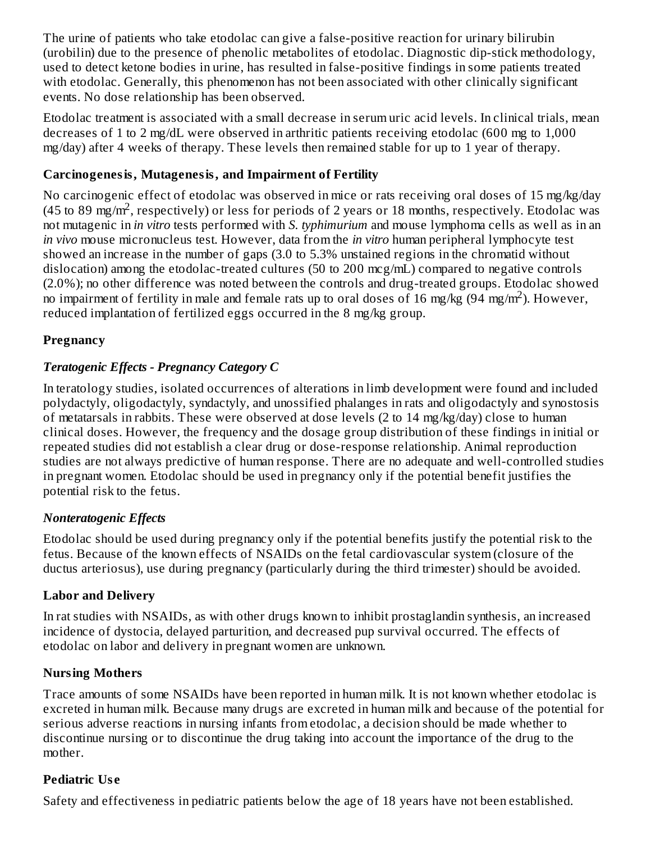The urine of patients who take etodolac can give a false-positive reaction for urinary bilirubin (urobilin) due to the presence of phenolic metabolites of etodolac. Diagnostic dip-stick methodology, used to detect ketone bodies in urine, has resulted in false-positive findings in some patients treated with etodolac. Generally, this phenomenon has not been associated with other clinically significant events. No dose relationship has been observed.

Etodolac treatment is associated with a small decrease in serum uric acid levels. In clinical trials, mean decreases of 1 to 2 mg/dL were observed in arthritic patients receiving etodolac (600 mg to 1,000 mg/day) after 4 weeks of therapy. These levels then remained stable for up to 1 year of therapy.

## **Carcinogenesis, Mutagenesis, and Impairment of Fertility**

No carcinogenic effect of etodolac was observed in mice or rats receiving oral doses of 15 mg/kg/day (45 to 89 mg/m<sup>2</sup>, respectively) or less for periods of 2 years or 18 months, respectively. Etodolac was not mutagenic in *in vitro* tests performed with *S. typhimurium* and mouse lymphoma cells as well as in an *in vivo* mouse micronucleus test. However, data from the *in vitro* human peripheral lymphocyte test showed an increase in the number of gaps (3.0 to 5.3% unstained regions in the chromatid without dislocation) among the etodolac-treated cultures (50 to 200 mcg/mL) compared to negative controls (2.0%); no other difference was noted between the controls and drug-treated groups. Etodolac showed no impairment of fertility in male and female rats up to oral doses of 16 mg/kg (94 mg/m<sup>2</sup>). However, reduced implantation of fertilized eggs occurred in the 8 mg/kg group.

#### **Pregnancy**

## *Teratogenic Effects - Pregnancy Category C*

In teratology studies, isolated occurrences of alterations in limb development were found and included polydactyly, oligodactyly, syndactyly, and unossified phalanges in rats and oligodactyly and synostosis of metatarsals in rabbits. These were observed at dose levels (2 to 14 mg/kg/day) close to human clinical doses. However, the frequency and the dosage group distribution of these findings in initial or repeated studies did not establish a clear drug or dose-response relationship. Animal reproduction studies are not always predictive of human response. There are no adequate and well-controlled studies in pregnant women. Etodolac should be used in pregnancy only if the potential benefit justifies the potential risk to the fetus.

#### *Nonteratogenic Effects*

Etodolac should be used during pregnancy only if the potential benefits justify the potential risk to the fetus. Because of the known effects of NSAIDs on the fetal cardiovascular system (closure of the ductus arteriosus), use during pregnancy (particularly during the third trimester) should be avoided.

#### **Labor and Delivery**

In rat studies with NSAIDs, as with other drugs known to inhibit prostaglandin synthesis, an increased incidence of dystocia, delayed parturition, and decreased pup survival occurred. The effects of etodolac on labor and delivery in pregnant women are unknown.

#### **Nursing Mothers**

Trace amounts of some NSAIDs have been reported in human milk. It is not known whether etodolac is excreted in human milk. Because many drugs are excreted in human milk and because of the potential for serious adverse reactions in nursing infants from etodolac, a decision should be made whether to discontinue nursing or to discontinue the drug taking into account the importance of the drug to the mother.

#### **Pediatric Us e**

Safety and effectiveness in pediatric patients below the age of 18 years have not been established.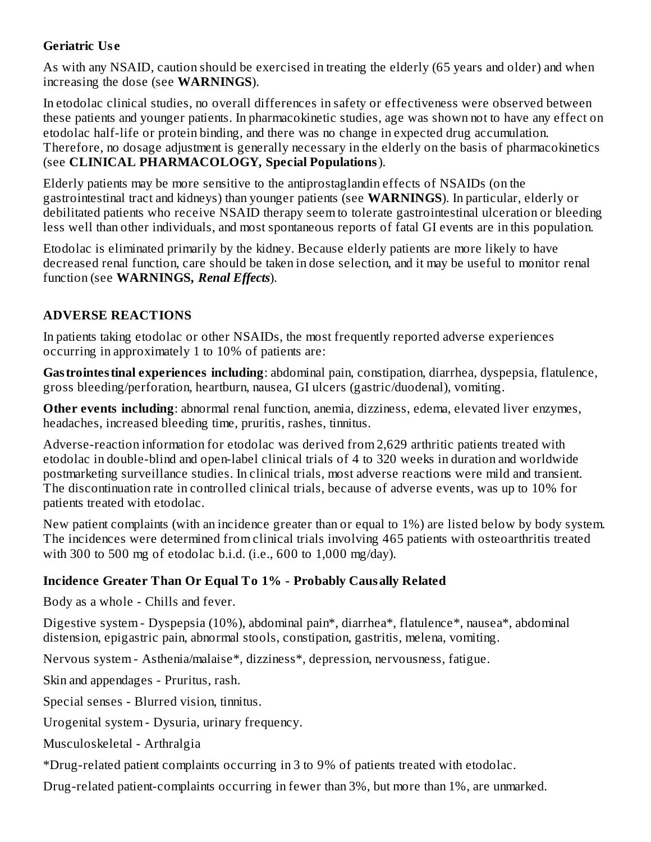#### **Geriatric Us e**

As with any NSAID, caution should be exercised in treating the elderly (65 years and older) and when increasing the dose (see **WARNINGS**).

In etodolac clinical studies, no overall differences in safety or effectiveness were observed between these patients and younger patients. In pharmacokinetic studies, age was shown not to have any effect on etodolac half-life or protein binding, and there was no change in expected drug accumulation. Therefore, no dosage adjustment is generally necessary in the elderly on the basis of pharmacokinetics (see **CLINICAL PHARMACOLOGY, Special Populations**).

Elderly patients may be more sensitive to the antiprostaglandin effects of NSAIDs (on the gastrointestinal tract and kidneys) than younger patients (see **WARNINGS**). In particular, elderly or debilitated patients who receive NSAID therapy seem to tolerate gastrointestinal ulceration or bleeding less well than other individuals, and most spontaneous reports of fatal GI events are in this population.

Etodolac is eliminated primarily by the kidney. Because elderly patients are more likely to have decreased renal function, care should be taken in dose selection, and it may be useful to monitor renal function (see **WARNINGS,** *Renal Effects*).

## **ADVERSE REACTIONS**

In patients taking etodolac or other NSAIDs, the most frequently reported adverse experiences occurring in approximately 1 to 10% of patients are:

**Gastrointestinal experiences including**: abdominal pain, constipation, diarrhea, dyspepsia, flatulence, gross bleeding/perforation, heartburn, nausea, GI ulcers (gastric/duodenal), vomiting.

**Other events including**: abnormal renal function, anemia, dizziness, edema, elevated liver enzymes, headaches, increased bleeding time, pruritis, rashes, tinnitus.

Adverse-reaction information for etodolac was derived from 2,629 arthritic patients treated with etodolac in double-blind and open-label clinical trials of 4 to 320 weeks in duration and worldwide postmarketing surveillance studies. In clinical trials, most adverse reactions were mild and transient. The discontinuation rate in controlled clinical trials, because of adverse events, was up to 10% for patients treated with etodolac.

New patient complaints (with an incidence greater than or equal to 1%) are listed below by body system. The incidences were determined from clinical trials involving 465 patients with osteoarthritis treated with 300 to 500 mg of etodolac b.i.d. (i.e., 600 to 1,000 mg/day).

## **Incidence Greater Than Or Equal To 1% - Probably Causally Related**

Body as a whole - Chills and fever.

Digestive system - Dyspepsia (10%), abdominal pain\*, diarrhea\*, flatulence\*, nausea\*, abdominal distension, epigastric pain, abnormal stools, constipation, gastritis, melena, vomiting.

Nervous system - Asthenia/malaise\*, dizziness\*, depression, nervousness, fatigue.

Skin and appendages - Pruritus, rash.

Special senses - Blurred vision, tinnitus.

Urogenital system - Dysuria, urinary frequency.

Musculoskeletal - Arthralgia

\*Drug-related patient complaints occurring in 3 to 9% of patients treated with etodolac.

Drug-related patient-complaints occurring in fewer than 3%, but more than 1%, are unmarked.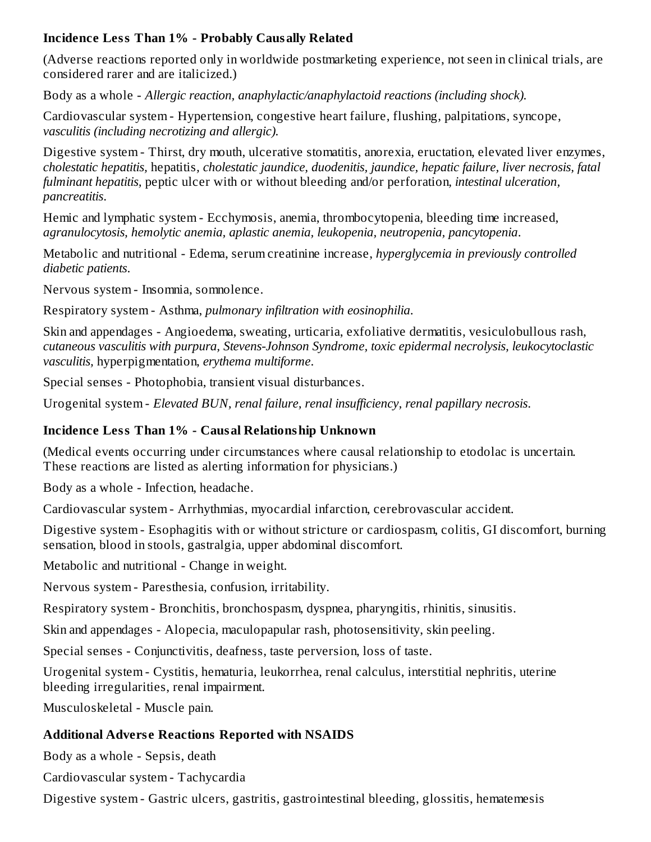## **Incidence Less Than 1% - Probably Causally Related**

(Adverse reactions reported only in worldwide postmarketing experience, not seen in clinical trials, are considered rarer and are italicized.)

Body as a whole - *Allergic reaction, anaphylactic/anaphylactoid reactions (including shock).*

Cardiovascular system - Hypertension, congestive heart failure, flushing, palpitations, syncope, *vasculitis (including necrotizing and allergic).*

Digestive system - Thirst, dry mouth, ulcerative stomatitis, anorexia, eructation, elevated liver enzymes, *cholestatic hepatitis,* hepatitis*, cholestatic jaundice, duodenitis, jaundice, hepatic failure, liver necrosis, fatal fulminant hepatitis,* peptic ulcer with or without bleeding and/or perforation*, intestinal ulceration, pancreatitis*.

Hemic and lymphatic system - Ecchymosis, anemia, thrombocytopenia, bleeding time increased, *agranulocytosis, hemolytic anemia, aplastic anemia, leukopenia, neutropenia, pancytopenia*.

Metabolic and nutritional - Edema, serum creatinine increase, *hyperglycemia in previously controlled diabetic patients*.

Nervous system - Insomnia, somnolence.

Respiratory system - Asthma, *pulmonary infiltration with eosinophilia*.

Skin and appendages - Angioedema, sweating, urticaria, exfoliative dermatitis, vesiculobullous rash, *cutaneous vasculitis with purpura, Stevens-Johnson Syndrome, toxic epidermal necrolysis, leukocytoclastic vasculitis,* hyperpigmentation, *erythema multiforme*.

Special senses - Photophobia, transient visual disturbances.

Urogenital system - *Elevated BUN, renal failure, renal insufficiency, renal papillary necrosis*.

#### **Incidence Less Than 1% - Causal Relationship Unknown**

(Medical events occurring under circumstances where causal relationship to etodolac is uncertain. These reactions are listed as alerting information for physicians.)

Body as a whole - Infection, headache.

Cardiovascular system - Arrhythmias, myocardial infarction, cerebrovascular accident.

Digestive system - Esophagitis with or without stricture or cardiospasm, colitis, GI discomfort, burning sensation, blood in stools, gastralgia, upper abdominal discomfort.

Metabolic and nutritional - Change in weight.

Nervous system - Paresthesia, confusion, irritability.

Respiratory system - Bronchitis, bronchospasm, dyspnea, pharyngitis, rhinitis, sinusitis.

Skin and appendages - Alopecia, maculopapular rash, photosensitivity, skin peeling.

Special senses - Conjunctivitis, deafness, taste perversion, loss of taste.

Urogenital system - Cystitis, hematuria, leukorrhea, renal calculus, interstitial nephritis, uterine bleeding irregularities, renal impairment.

Musculoskeletal - Muscle pain.

## **Additional Advers e Reactions Reported with NSAIDS**

Body as a whole - Sepsis, death

Cardiovascular system - Tachycardia

Digestive system - Gastric ulcers, gastritis, gastrointestinal bleeding, glossitis, hematemesis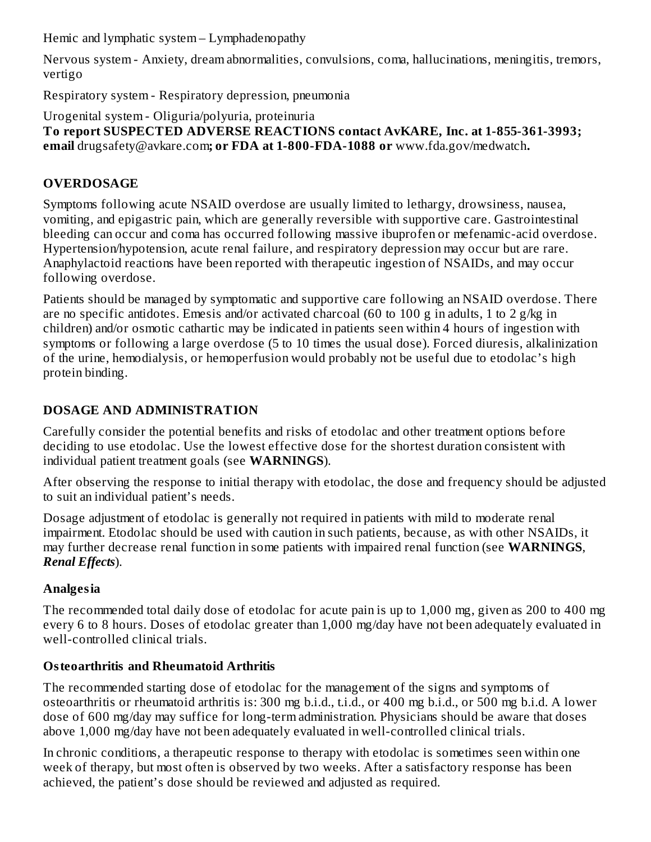Hemic and lymphatic system – Lymphadenopathy

Nervous system - Anxiety, dream abnormalities, convulsions, coma, hallucinations, meningitis, tremors, vertigo

Respiratory system - Respiratory depression, pneumonia

Urogenital system - Oliguria/polyuria, proteinuria **To report SUSPECTED ADVERSE REACTIONS contact AvKARE, Inc. at 1-855-361-3993; email** drugsafety@avkare.com**; or FDA at 1-800-FDA-1088 or** www.fda.gov/medwatch**.**

## **OVERDOSAGE**

Symptoms following acute NSAID overdose are usually limited to lethargy, drowsiness, nausea, vomiting, and epigastric pain, which are generally reversible with supportive care. Gastrointestinal bleeding can occur and coma has occurred following massive ibuprofen or mefenamic-acid overdose. Hypertension/hypotension, acute renal failure, and respiratory depression may occur but are rare. Anaphylactoid reactions have been reported with therapeutic ingestion of NSAIDs, and may occur following overdose.

Patients should be managed by symptomatic and supportive care following an NSAID overdose. There are no specific antidotes. Emesis and/or activated charcoal (60 to 100 g in adults, 1 to 2 g/kg in children) and/or osmotic cathartic may be indicated in patients seen within 4 hours of ingestion with symptoms or following a large overdose (5 to 10 times the usual dose). Forced diuresis, alkalinization of the urine, hemodialysis, or hemoperfusion would probably not be useful due to etodolac's high protein binding.

## **DOSAGE AND ADMINISTRATION**

Carefully consider the potential benefits and risks of etodolac and other treatment options before deciding to use etodolac. Use the lowest effective dose for the shortest duration consistent with individual patient treatment goals (see **WARNINGS**).

After observing the response to initial therapy with etodolac, the dose and frequency should be adjusted to suit an individual patient's needs.

Dosage adjustment of etodolac is generally not required in patients with mild to moderate renal impairment. Etodolac should be used with caution in such patients, because, as with other NSAIDs, it may further decrease renal function in some patients with impaired renal function (see **WARNINGS**, *Renal Effects*).

## **Analgesia**

The recommended total daily dose of etodolac for acute pain is up to 1,000 mg, given as 200 to 400 mg every 6 to 8 hours. Doses of etodolac greater than 1,000 mg/day have not been adequately evaluated in well-controlled clinical trials.

## **Osteoarthritis and Rheumatoid Arthritis**

The recommended starting dose of etodolac for the management of the signs and symptoms of osteoarthritis or rheumatoid arthritis is: 300 mg b.i.d., t.i.d., or 400 mg b.i.d., or 500 mg b.i.d. A lower dose of 600 mg/day may suffice for long-term administration. Physicians should be aware that doses above 1,000 mg/day have not been adequately evaluated in well-controlled clinical trials.

In chronic conditions, a therapeutic response to therapy with etodolac is sometimes seen within one week of therapy, but most often is observed by two weeks. After a satisfactory response has been achieved, the patient's dose should be reviewed and adjusted as required.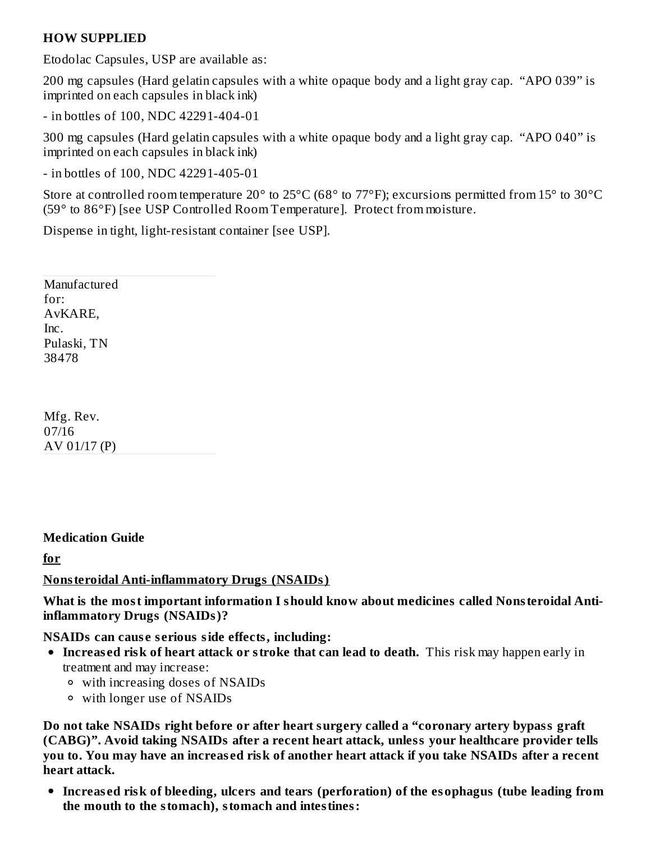#### **HOW SUPPLIED**

Etodolac Capsules, USP are available as:

200 mg capsules (Hard gelatin capsules with a white opaque body and a light gray cap. "APO 039" is imprinted on each capsules in black ink)

- in bottles of 100, NDC 42291-404-01

300 mg capsules (Hard gelatin capsules with a white opaque body and a light gray cap. "APO 040" is imprinted on each capsules in black ink)

- in bottles of 100, NDC 42291-405-01

Store at controlled room temperature 20° to 25°C (68° to 77°F); excursions permitted from 15° to 30°C (59° to 86°F) [see USP Controlled Room Temperature]. Protect from moisture.

Dispense in tight, light-resistant container [see USP].

Manufactured for: AvKARE, Inc. Pulaski, TN 38478

Mfg. Rev. 07/16 AV 01/17 (P)

#### **Medication Guide**

**for**

## **Nonsteroidal Anti-inflammatory Drugs (NSAIDs)**

**What is the most important information I should know about medicines called Nonsteroidal Antiinflammatory Drugs (NSAIDs)?**

**NSAIDs can caus e s erious side effects, including:**

- **Increas ed risk of heart attack or stroke that can lead to death.** This risk may happen early in treatment and may increase:
	- with increasing doses of NSAIDs
	- with longer use of NSAIDs

**Do not take NSAIDs right before or after heart surgery called a "coronary artery bypass graft (CABG)". Avoid taking NSAIDs after a recent heart attack, unless your healthcare provider tells** you to. You may have an increased risk of another heart attack if you take NSAIDs after a recent **heart attack.**

**Increas ed risk of bleeding, ulcers and tears (perforation) of the esophagus (tube leading from the mouth to the stomach), stomach and intestines:**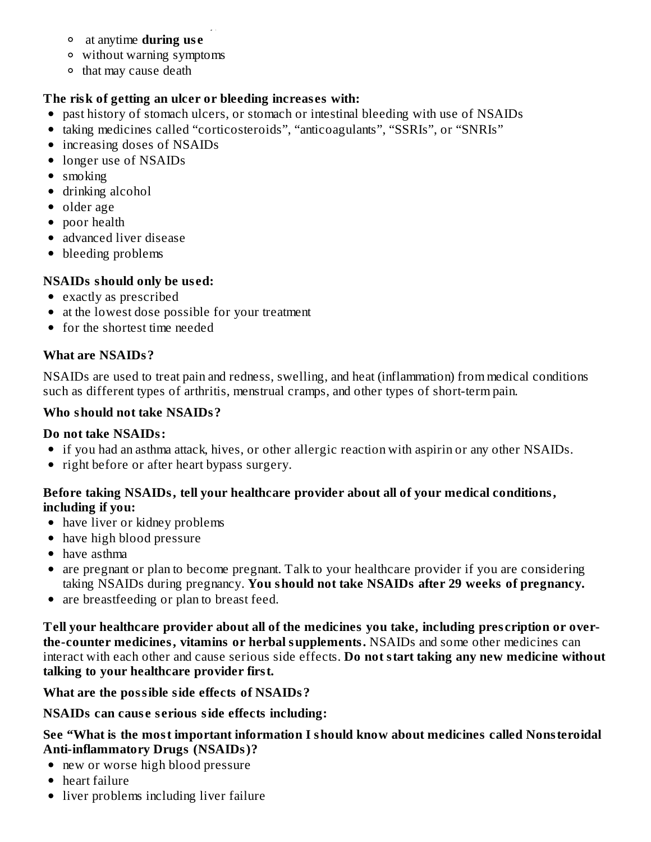- at anytime **during us e**
- without warning symptoms
- $\circ$  that may cause death

## **The risk of getting an ulcer or bleeding increas es with:**

**the mouth to the stomach), stomach and intestines:**

- past history of stomach ulcers, or stomach or intestinal bleeding with use of NSAIDs
- taking medicines called "corticosteroids", "anticoagulants", "SSRIs", or "SNRIs"
- increasing doses of NSAIDs
- longer use of NSAIDs
- smoking
- drinking alcohol
- older age
- poor health
- advanced liver disease
- bleeding problems

## **NSAIDs should only be us ed:**

- exactly as prescribed
- at the lowest dose possible for your treatment
- for the shortest time needed

#### **What are NSAIDs?**

NSAIDs are used to treat pain and redness, swelling, and heat (inflammation) from medical conditions such as different types of arthritis, menstrual cramps, and other types of short-term pain.

#### **Who should not take NSAIDs?**

## **Do not take NSAIDs:**

- if you had an asthma attack, hives, or other allergic reaction with aspirin or any other NSAIDs.
- right before or after heart bypass surgery.

#### **Before taking NSAIDs, tell your healthcare provider about all of your medical conditions, including if you:**

- have liver or kidney problems
- have high blood pressure
- have asthma
- are pregnant or plan to become pregnant. Talk to your healthcare provider if you are considering taking NSAIDs during pregnancy. **You should not take NSAIDs after 29 weeks of pregnancy.**
- are breastfeeding or plan to breast feed.

**Tell your healthcare provider about all of the medicines you take, including pres cription or overthe-counter medicines, vitamins or herbal supplements.** NSAIDs and some other medicines can interact with each other and cause serious side effects. **Do not start taking any new medicine without talking to your healthcare provider first.**

## **What are the possible side effects of NSAIDs?**

## **NSAIDs can caus e s erious side effects including:**

#### **See "What is the most important information I should know about medicines called Nonsteroidal Anti-inflammatory Drugs (NSAIDs)?**

- new or worse high blood pressure
- heart failure
- liver problems including liver failure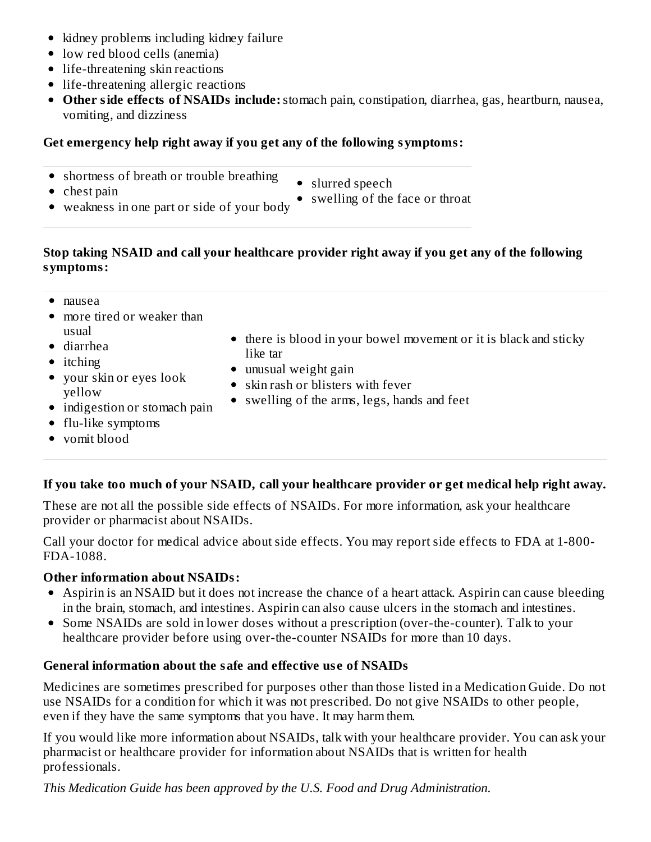- $\bullet$  kidney problems including kidney failure
- low red blood cells (anemia)
- life-threatening skin reactions
- life-threatening allergic reactions
- **Other side effects of NSAIDs include:**stomach pain, constipation, diarrhea, gas, heartburn, nausea, vomiting, and dizziness

#### **Get emergency help right away if you get any of the following symptoms:**

like tar

• unusual weight gain

- shortness of breath or trouble breathing
- slurred speech
- chest pain weakness in one part or side of your body
- swelling of the face or throat

• there is blood in your bowel movement or it is black and sticky

#### **Stop taking NSAID and call your healthcare provider right away if you get any of the following symptoms:**

- $\bullet$  nausea
- more tired or weaker than usual
- diarrhea
- itching
- your skin or eyes look yellow
- indigestion or stomach pain
- flu-like symptoms
- vomit blood

# **If you take too much of your NSAID, call your healthcare provider or get medical help right away.**

• skin rash or blisters with fever

swelling of the arms, legs, hands and feet

These are not all the possible side effects of NSAIDs. For more information, ask your healthcare provider or pharmacist about NSAIDs.

Call your doctor for medical advice about side effects. You may report side effects to FDA at 1-800- FDA-1088.

## **Other information about NSAIDs:**

- Aspirin is an NSAID but it does not increase the chance of a heart attack. Aspirin can cause bleeding in the brain, stomach, and intestines. Aspirin can also cause ulcers in the stomach and intestines.
- Some NSAIDs are sold in lower doses without a prescription (over-the-counter). Talk to your healthcare provider before using over-the-counter NSAIDs for more than 10 days.

## **General information about the safe and effective us e of NSAIDs**

Medicines are sometimes prescribed for purposes other than those listed in a Medication Guide. Do not use NSAIDs for a condition for which it was not prescribed. Do not give NSAIDs to other people, even if they have the same symptoms that you have. It may harm them.

If you would like more information about NSAIDs, talk with your healthcare provider. You can ask your pharmacist or healthcare provider for information about NSAIDs that is written for health professionals.

*This Medication Guide has been approved by the U.S. Food and Drug Administration.*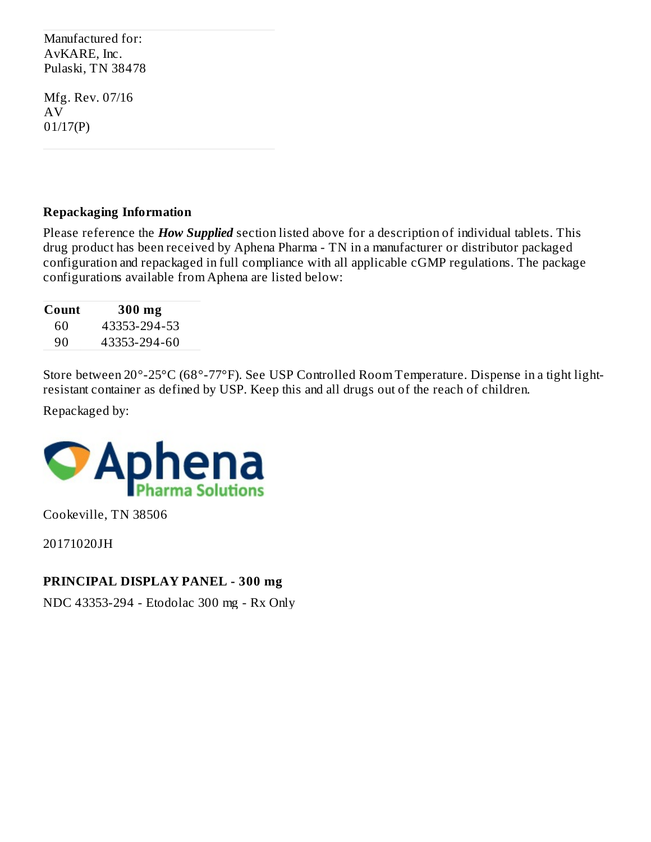Manufactured for: AvKARE, Inc. Pulaski, TN 38478

Mfg. Rev. 07/16 AV 01/17(P)

#### **Repackaging Information**

Please reference the *How Supplied* section listed above for a description of individual tablets. This drug product has been received by Aphena Pharma - TN in a manufacturer or distributor packaged configuration and repackaged in full compliance with all applicable cGMP regulations. The package configurations available from Aphena are listed below:

| Count | 300 mg       |
|-------|--------------|
| 60    | 43353-294-53 |
| 90    | 43353-294-60 |

Store between 20°-25°C (68°-77°F). See USP Controlled Room Temperature. Dispense in a tight lightresistant container as defined by USP. Keep this and all drugs out of the reach of children.

Repackaged by:



Cookeville, TN 38506

20171020JH

#### **PRINCIPAL DISPLAY PANEL - 300 mg**

NDC 43353-294 - Etodolac 300 mg - Rx Only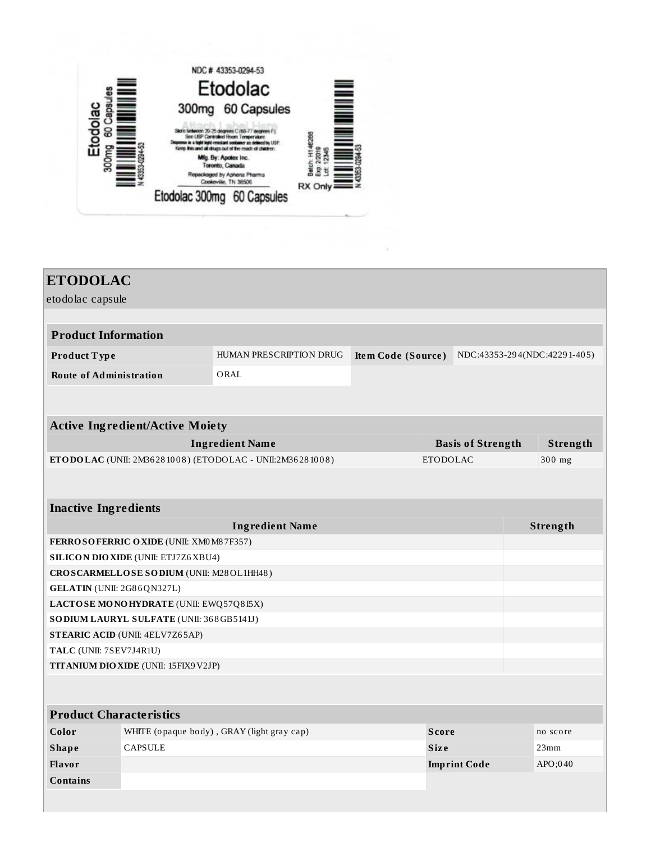|              | NDC # 43353-0294-53                                                                                                                                                                                                   |         |
|--------------|-----------------------------------------------------------------------------------------------------------------------------------------------------------------------------------------------------------------------|---------|
|              | Etodolac                                                                                                                                                                                                              |         |
|              | 300mg 60 Capsules                                                                                                                                                                                                     |         |
| todolac<br>൹ | Store Setwace: 20-25 degrees C (68-77 degrees F).<br>See USP Controlled Room Temperature<br>Desperse in a light light-resistant container as delined by USP.<br>Keep this and all drugs out of the reach of children. |         |
|              | Mfg. By: Apotex Inc.<br>Toronto, Canada                                                                                                                                                                               |         |
|              | Repackaged by Aphena Pharma<br>Cookeville, TN 38506                                                                                                                                                                   | RX Only |
|              | Etodolac 300mg 60 Capsules                                                                                                                                                                                            |         |

| <b>ETODOLAC</b>                                                                    |                                             |                                                          |                    |                 |                          |  |                              |
|------------------------------------------------------------------------------------|---------------------------------------------|----------------------------------------------------------|--------------------|-----------------|--------------------------|--|------------------------------|
| etodolac capsule                                                                   |                                             |                                                          |                    |                 |                          |  |                              |
|                                                                                    |                                             |                                                          |                    |                 |                          |  |                              |
| <b>Product Information</b>                                                         |                                             |                                                          |                    |                 |                          |  |                              |
| Product Type                                                                       |                                             | HUMAN PRESCRIPTION DRUG                                  | Item Code (Source) |                 |                          |  | NDC:43353-294(NDC:42291-405) |
|                                                                                    |                                             |                                                          |                    |                 |                          |  |                              |
| <b>Route of Administration</b>                                                     |                                             | ORAL                                                     |                    |                 |                          |  |                              |
|                                                                                    |                                             |                                                          |                    |                 |                          |  |                              |
|                                                                                    |                                             |                                                          |                    |                 |                          |  |                              |
|                                                                                    | <b>Active Ingredient/Active Moiety</b>      |                                                          |                    |                 |                          |  |                              |
|                                                                                    |                                             | <b>Ingredient Name</b>                                   |                    |                 | <b>Basis of Strength</b> |  | Strength                     |
|                                                                                    |                                             | ETODOLAC (UNII: 2M36281008) (ETODOLAC - UNII:2M36281008) |                    | <b>ETODOLAC</b> |                          |  | 300 mg                       |
|                                                                                    |                                             |                                                          |                    |                 |                          |  |                              |
|                                                                                    |                                             |                                                          |                    |                 |                          |  |                              |
| <b>Inactive Ingredients</b>                                                        |                                             |                                                          |                    |                 |                          |  |                              |
| <b>Ingredient Name</b><br>Strength<br>FERROSOFERRIC OXIDE (UNII: XM0 M8 7F357)     |                                             |                                                          |                    |                 |                          |  |                              |
|                                                                                    |                                             |                                                          |                    |                 |                          |  |                              |
|                                                                                    | <b>SILICON DIO XIDE (UNII: ETJ7Z6 XBU4)</b> |                                                          |                    |                 |                          |  |                              |
|                                                                                    | CROSCARMELLOSE SODIUM (UNII: M28OL1HH48)    |                                                          |                    |                 |                          |  |                              |
| GELATIN (UNII: 2G86QN327L)<br>LACTOSE MONOHYDRATE (UNII: EWQ57Q8I5X)               |                                             |                                                          |                    |                 |                          |  |                              |
|                                                                                    |                                             |                                                          |                    |                 |                          |  |                              |
| SODIUM LAURYL SULFATE (UNII: 368GB5141J)<br><b>STEARIC ACID (UNII: 4ELV7Z65AP)</b> |                                             |                                                          |                    |                 |                          |  |                              |
| TALC (UNII: 7SEV7J4R1U)                                                            |                                             |                                                          |                    |                 |                          |  |                              |
| <b>TITANIUM DIO XIDE (UNII: 15FIX9V2JP)</b>                                        |                                             |                                                          |                    |                 |                          |  |                              |
|                                                                                    |                                             |                                                          |                    |                 |                          |  |                              |
|                                                                                    |                                             |                                                          |                    |                 |                          |  |                              |
| <b>Product Characteristics</b>                                                     |                                             |                                                          |                    |                 |                          |  |                              |
| Color                                                                              |                                             | WHITE (opaque body), GRAY (light gray cap)               |                    | <b>Score</b>    |                          |  | no score                     |
| <b>Shape</b>                                                                       | <b>CAPSULE</b>                              |                                                          |                    | <b>Size</b>     |                          |  | 23mm                         |
| Flavor                                                                             |                                             |                                                          |                    |                 | <b>Imprint Code</b>      |  | APO;040                      |
| <b>Contains</b>                                                                    |                                             |                                                          |                    |                 |                          |  |                              |
|                                                                                    |                                             |                                                          |                    |                 |                          |  |                              |
|                                                                                    |                                             |                                                          |                    |                 |                          |  |                              |

 $\mathcal{L}_{\text{max}} = \{ \mathcal{L}_{\text{max}} \}_{\text{max}}$